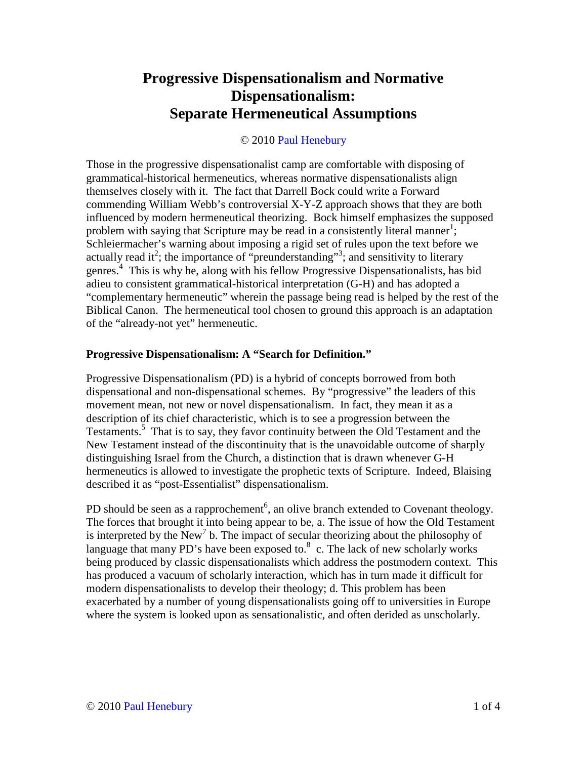## **Progressive Dispensationalism and Normative Dispensationalism: Separate Hermeneutical Assumptions**

## © 2010 Paul Henebury

Those in the progressive dispensationalist camp are comfortable with disposing of grammatical-historical hermeneutics, whereas normative dispensationalists align themselves closely with it. The fact that Darrell Bock could write a Forward commending William Webb's controversial X-Y-Z approach shows that they are both influenced by modern hermeneutical theorizing. Bock himself emphasizes the supposed problem with saying that Scripture may be read in a consistently literal manner<sup>1</sup>; Schleiermacher's warning about imposing a rigid set of rules upon the text before we actually read it<sup>2</sup>; the importance of "preunderstanding"<sup>3</sup>; and sensitivity to literary genres.<sup>4</sup> This is why he, along with his fellow Progressive Dispensationalists, has bid adieu to consistent grammatical-historical interpretation (G-H) and has adopted a "complementary hermeneutic" wherein the passage being read is helped by the rest of the Biblical Canon. The hermeneutical tool chosen to ground this approach is an adaptation of the "already-not yet" hermeneutic.

## **Progressive Dispensationalism: A "Search for Definition."**

Progressive Dispensationalism (PD) is a hybrid of concepts borrowed from both dispensational and non-dispensational schemes. By "progressive" the leaders of this movement mean, not new or novel dispensationalism. In fact, they mean it as a description of its chief characteristic, which is to see a progression between the Testaments.<sup>5</sup> That is to say, they favor continuity between the Old Testament and the New Testament instead of the discontinuity that is the unavoidable outcome of sharply distinguishing Israel from the Church, a distinction that is drawn whenever G-H hermeneutics is allowed to investigate the prophetic texts of Scripture. Indeed, Blaising described it as "post-Essentialist" dispensationalism.

PD should be seen as a rapprochement<sup>6</sup>, an olive branch extended to Covenant theology. The forces that brought it into being appear to be, a. The issue of how the Old Testament is interpreted by the New<sup>7</sup> b. The impact of secular theorizing about the philosophy of language that many PD's have been exposed to. $8\,$  c. The lack of new scholarly works being produced by classic dispensationalists which address the postmodern context. This has produced a vacuum of scholarly interaction, which has in turn made it difficult for modern dispensationalists to develop their theology; d. This problem has been exacerbated by a number of young dispensationalists going off to universities in Europe where the system is looked upon as sensationalistic, and often derided as unscholarly.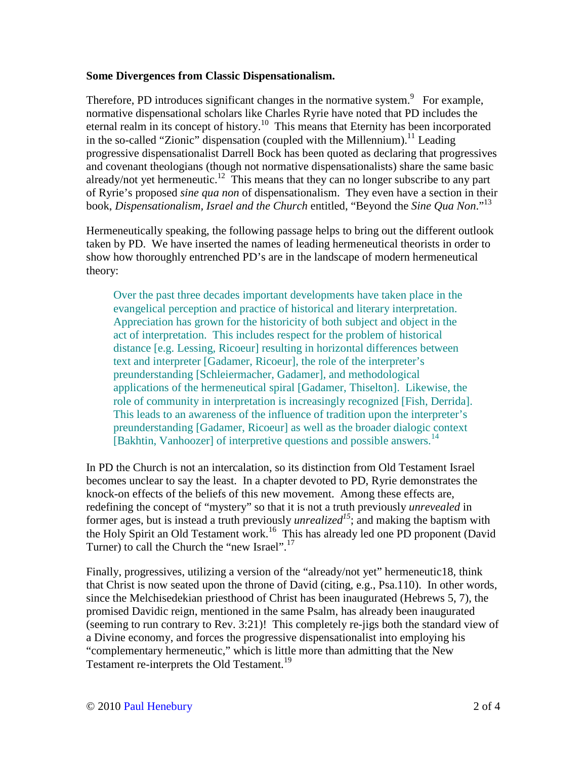## **Some Divergences from Classic Dispensationalism.**

Therefore, PD introduces significant changes in the normative system. $9$  For example, normative dispensational scholars like Charles Ryrie have noted that PD includes the eternal realm in its concept of history.<sup>10</sup> This means that Eternity has been incorporated in the so-called "Zionic" dispensation (coupled with the Millennium).<sup>11</sup> Leading progressive dispensationalist Darrell Bock has been quoted as declaring that progressives and covenant theologians (though not normative dispensationalists) share the same basic already/not yet hermeneutic.<sup>12</sup> This means that they can no longer subscribe to any part of Ryrie's proposed *sine qua non* of dispensationalism. They even have a section in their book, *Dispensationalism, Israel and the Church* entitled, "Beyond the *Sine Qua Non*."<sup>13</sup>

Hermeneutically speaking, the following passage helps to bring out the different outlook taken by PD. We have inserted the names of leading hermeneutical theorists in order to show how thoroughly entrenched PD's are in the landscape of modern hermeneutical theory:

Over the past three decades important developments have taken place in the evangelical perception and practice of historical and literary interpretation. Appreciation has grown for the historicity of both subject and object in the act of interpretation. This includes respect for the problem of historical distance [e.g. Lessing, Ricoeur] resulting in horizontal differences between text and interpreter [Gadamer, Ricoeur], the role of the interpreter's preunderstanding [Schleiermacher, Gadamer], and methodological applications of the hermeneutical spiral [Gadamer, Thiselton]. Likewise, the role of community in interpretation is increasingly recognized [Fish, Derrida]. This leads to an awareness of the influence of tradition upon the interpreter's preunderstanding [Gadamer, Ricoeur] as well as the broader dialogic context [Bakhtin, Vanhoozer] of interpretive questions and possible answers.<sup>14</sup>

In PD the Church is not an intercalation, so its distinction from Old Testament Israel becomes unclear to say the least. In a chapter devoted to PD, Ryrie demonstrates the knock-on effects of the beliefs of this new movement. Among these effects are, redefining the concept of "mystery" so that it is not a truth previously *unrevealed* in former ages, but is instead a truth previously *unrealized<sup>15</sup>*; and making the baptism with the Holy Spirit an Old Testament work.<sup>16</sup> This has already led one PD proponent (David Turner) to call the Church the "new Israel".<sup>17</sup>

Finally, progressives, utilizing a version of the "already/not yet" hermeneutic18, think that Christ is now seated upon the throne of David (citing, e.g., Psa.110). In other words, since the Melchisedekian priesthood of Christ has been inaugurated (Hebrews 5, 7), the promised Davidic reign, mentioned in the same Psalm, has already been inaugurated (seeming to run contrary to Rev. 3:21)! This completely re-jigs both the standard view of a Divine economy, and forces the progressive dispensationalist into employing his "complementary hermeneutic," which is little more than admitting that the New Testament re-interprets the Old Testament.<sup>19</sup>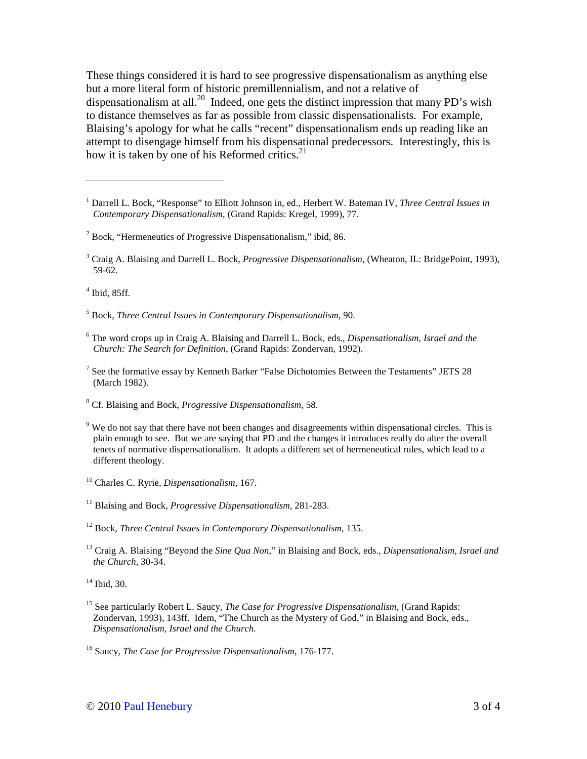These things considered it is hard to see progressive dispensationalism as anything else but a more literal form of historic premillennialism, and not a relative of dispensationalism at all.<sup>20</sup> Indeed, one gets the distinct impression that many PD's wish to distance themselves as far as possible from classic dispensationalists. For example, Blaising's apology for what he calls "recent" dispensationalism ends up reading like an attempt to disengage himself from his dispensational predecessors. Interestingly, this is how it is taken by one of his Reformed critics. $21$ 

4 Ibid, 85ff.

 $\overline{a}$ 

5 Bock, *Three Central Issues in Contemporary Dispensationalism*, 90.

- 6 The word crops up in Craig A. Blaising and Darrell L. Bock, eds., *Dispensationalism, Israel and the Church: The Search for Definition*, (Grand Rapids: Zondervan, 1992).
- $<sup>7</sup>$  See the formative essay by Kenneth Barker "False Dichotomies Between the Testaments" JETS 28</sup> (March 1982).
- 8 Cf. Blaising and Bock, *Progressive Dispensationalism*, 58.
- <sup>9</sup> We do not say that there have not been changes and disagreements within dispensational circles. This is plain enough to see. But we are saying that PD and the changes it introduces really do alter the overall tenets of normative dispensationalism. It adopts a different set of hermeneutical rules, which lead to a different theology.
- <sup>10</sup> Charles C. Ryrie, *Dispensationalism*, 167.

<sup>11</sup> Blaising and Bock, *Progressive Dispensationalism*, 281-283.

<sup>12</sup> Bock, *Three Central Issues in Contemporary Dispensationalism*, 135.

<sup>13</sup> Craig A. Blaising "Beyond the *Sine Qua Non*," in Blaising and Bock, eds., *Dispensationalism, Israel and the Church*, 30-34.

<sup>14</sup> Ibid, 30.

<sup>15</sup> See particularly Robert L. Saucy, *The Case for Progressive Dispensationalism*, (Grand Rapids: Zondervan, 1993), 143ff. Idem, "The Church as the Mystery of God," in Blaising and Bock, eds., *Dispensationalism, Israel and the Church.* 

<sup>&</sup>lt;sup>1</sup> Darrell L. Bock, "Response" to Elliott Johnson in, ed., Herbert W. Bateman IV, *Three Central Issues in Contemporary Dispensationalism*, (Grand Rapids: Kregel, 1999), 77.

<sup>&</sup>lt;sup>2</sup> Bock, "Hermeneutics of Progressive Dispensationalism," ibid, 86.

<sup>&</sup>lt;sup>3</sup> Craig A. Blaising and Darrell L. Bock, *Progressive Dispensationalism*, (Wheaton, IL: BridgePoint, 1993), 59-62.

<sup>16</sup> Saucy, *The Case for Progressive Dispensationalism*, 176-177.